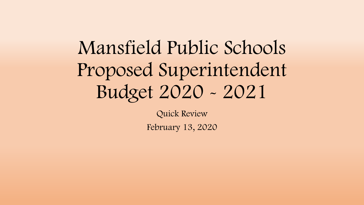# Mansfield Public Schools Proposed Superintendent Budget 2020 - 2021

Quick Review

February 13, 2020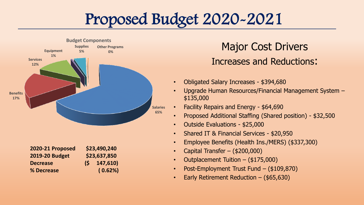# Proposed Budget 2020-2021



#### Major Cost Drivers Increases and Reductions:

- Obligated Salary Increases \$394,680
- Upgrade Human Resources/Financial Management System \$135,000
- Facility Repairs and Energy \$64,690
- Proposed Additional Staffing (Shared position) \$32,500
- Outside Evaluations \$25,000
- Shared IT & Financial Services \$20,950
- Employee Benefits (Health Ins./MERS) (\$337,300)
- Capital Transfer (\$200,000)
- Outplacement Tuition (\$175,000)
- Post-Employment Trust Fund (\$109,870)
- Early Retirement Reduction (\$65,630)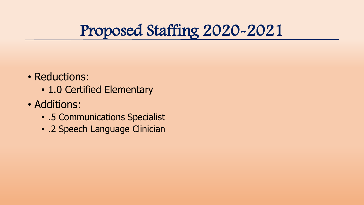# Proposed Staffing 2020-2021

- Reductions:
	- 1.0 Certified Elementary
- Additions:
	- .5 Communications Specialist
	- .2 Speech Language Clinician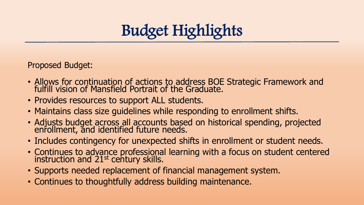

Proposed Budget:

- Allows for continuation of actions to address BOE Strategic Framework and fulfill vision of Mansfield Portrait of the Graduate.
- Provides resources to support ALL students.
- Maintains class size guidelines while responding to enrollment shifts.
- Adjusts budget across all accounts based on historical spending, projected enrollment, and identified future needs.
- Includes contingency for unexpected shifts in enrollment or student needs.
- Continues to advance professional learning with a focus on student centered instruction and 21st century skills.
- Supports needed replacement of financial management system.
- Continues to thoughtfully address building maintenance.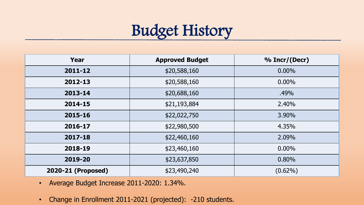# Budget History

| Year               | <b>Approved Budget</b> | % Incr/(Decr) |
|--------------------|------------------------|---------------|
| 2011-12            | \$20,588,160           | $0.00\%$      |
| 2012-13            | \$20,588,160           | $0.00\%$      |
| 2013-14            | \$20,688,160           | .49%          |
| 2014-15            | \$21,193,884           | 2.40%         |
| 2015-16            | \$22,022,750           | 3.90%         |
| 2016-17            | \$22,980,500           | 4.35%         |
| 2017-18            | \$22,460,160           | 2.09%         |
| 2018-19            | \$23,460,160           | $0.00\%$      |
| 2019-20            | \$23,637,850           | 0.80%         |
| 2020-21 (Proposed) | \$23,490,240           | $(0.62\%)$    |

- Average Budget Increase 2011-2020: 1.34%.
- Change in Enrollment 2011-2021 (projected): -210 students.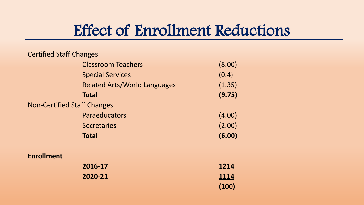#### Effect of Enrollment Reductions

| <b>Certified Staff Changes</b>     |                                     |        |
|------------------------------------|-------------------------------------|--------|
|                                    | <b>Classroom Teachers</b>           | (8.00) |
|                                    | <b>Special Services</b>             | (0.4)  |
|                                    | <b>Related Arts/World Languages</b> | (1.35) |
|                                    | <b>Total</b>                        | (9.75) |
| <b>Non-Certified Staff Changes</b> |                                     |        |
|                                    | Paraeducators                       | (4.00) |
|                                    | <b>Secretaries</b>                  | (2.00) |
|                                    | <b>Total</b>                        | (6.00) |
| <b>Enrollment</b>                  |                                     |        |
|                                    | 2016-17                             | 1214   |
|                                    | 2020-21                             | 1114   |
|                                    |                                     | (100)  |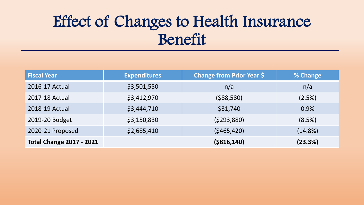# Effect of Changes to Health Insurance Benefit

| <b>Fiscal Year</b>              | <b>Expenditures</b> | <b>Change from Prior Year \$</b> | % Change   |
|---------------------------------|---------------------|----------------------------------|------------|
| 2016-17 Actual                  | \$3,501,550         | n/a                              | n/a        |
| 2017-18 Actual                  | \$3,412,970         | (588, 580)                       | (2.5%)     |
| 2018-19 Actual                  | \$3,444,710         | \$31,740                         | 0.9%       |
| 2019-20 Budget                  | \$3,150,830         | (5293,880)                       | (8.5%)     |
| 2020-21 Proposed                | \$2,685,410         | (5465, 420)                      | $(14.8\%)$ |
| <b>Total Change 2017 - 2021</b> |                     | ( \$816, 140)                    | (23.3%)    |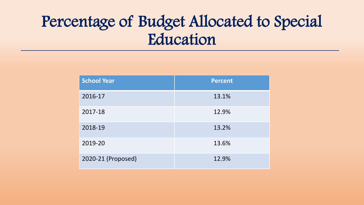# Percentage of Budget Allocated to Special Education

| <b>School Year</b> | <b>Percent</b> |
|--------------------|----------------|
| 2016-17            | 13.1%          |
| 2017-18            | 12.9%          |
| 2018-19            | 13.2%          |
| 2019-20            | 13.6%          |
| 2020-21 (Proposed) | 12.9%          |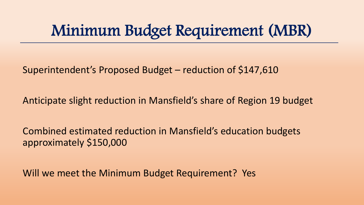### Minimum Budget Requirement (MBR)

Superintendent's Proposed Budget – reduction of \$147,610

Anticipate slight reduction in Mansfield's share of Region 19 budget

Combined estimated reduction in Mansfield's education budgets approximately \$150,000

Will we meet the Minimum Budget Requirement? Yes